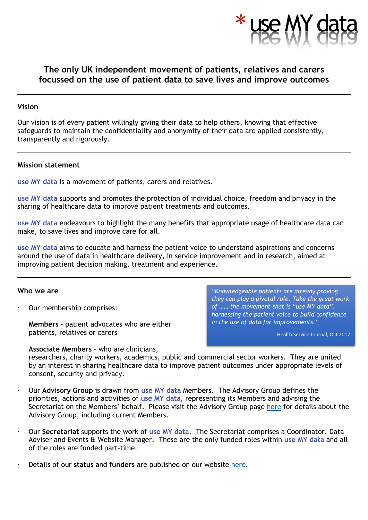

# **The only UK independent movement of patients, relatives and carers focussed on the use of patient data to save lives and improve outcomes**

#### **Vision**

Our vision is of every patient willingly giving their data to help others, knowing that effective safeguards to maintain the confidentiality and anonymity of their data are applied consistently, transparently and rigorously.

### **Mission statement**

**use MY data** is a movement of patients, carers and relatives.

**use MY data** supports and promotes the protection of individual choice, freedom and privacy in the sharing of healthcare data to improve patient treatments and outcomes.

**use MY data** endeavours to highlight the many benefits that appropriate usage of healthcare data can make, to save lives and improve care for all.

**use MY data** aims to educate and harness the patient voice to understand aspirations and concerns around the use of data in healthcare delivery, in service improvement and in research, aimed at improving patient decision making, treatment and experience.

#### **Who we are**

Our membership comprises:

**Members** - patient advocates who are either patients, relatives or carers

*"Knowledgeable patients are already proving they can play a pivotal role. Take the great work of …… the movement that is "use MY data", harnessing the patient voice to build confidence in the use of data for improvements."*

Health Service Journal, Oct 2017

**Associate Members** – who are clinicians,

researchers, charity workers, academics, public and commercial sector workers. They are united by an interest in sharing healthcare data to improve patient outcomes under appropriate levels of consent, security and privacy.

- Our **Advisory Group** is drawn from **use MY data** Members. The Advisory Group defines the priorities, actions and activities of **use MY data**, representing its Members and advising the Secretariat on the Members' behalf. Please visit the Advisory Group page [here](http://www.usemydata.org/advisory.php) for details about the Advisory Group, including current Members.
- Our **Secretariat** supports the work of **use MY data**.The Secretariat comprises a Coordinator, Data Adviser and Events & Website Manager. These are the only funded roles within **use MY data** and all of the roles are funded part-time.
- Details of our **status** and **funders** are published on our website [here.](http://www.usemydata.org/funders.php#funders)